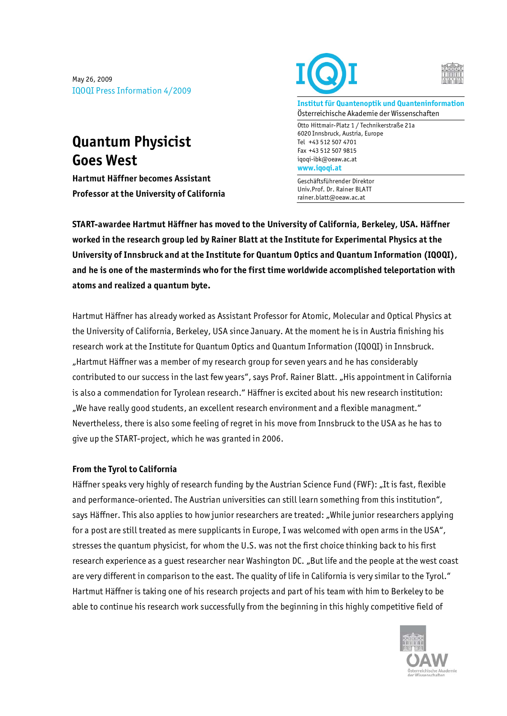May 26, 2009 IQOQI Press Information 4/2009

## **Quantum Physicist Goes West**

**Hartmut Häffner becomes Assistant Professor at the University of California** 





**Institut für Quantenoptik und Quanteninformation**  Österreichische Akademie der Wissenschaften

Otto Hittmair-Platz 1 / Technikerstraße 21a 6020 Innsbruck, Austria, Europe Tel +43 512 507 4701 Fax +43 512 507 9815 iqoqi-ibk@oeaw.ac.at **www.iqoqi.at** 

Geschäftsführender Direktor Univ.Prof. Dr. Rainer BLATT rainer.blatt@oeaw.ac.at

**START-awardee Hartmut Häffner has moved to the University of California, Berkeley, USA. Häffner worked in the research group led by Rainer Blatt at the Institute for Experimental Physics at the University of Innsbruck and at the Institute for Quantum Optics and Quantum Information (IQOQI), and he is one of the masterminds who for the first time worldwide accomplished teleportation with atoms and realized a quantum byte.** 

Hartmut Häffner has already worked as Assistant Professor for Atomic, Molecular and Optical Physics at the University of California, Berkeley, USA since January. At the moment he is in Austria finishing his research work at the Institute for Quantum Optics and Quantum Information (IQOQI) in Innsbruck. "Hartmut Häffner was a member of my research group for seven years and he has considerably contributed to our success in the last few years", says Prof. Rainer Blatt. "His appointment in California is also a commendation for Tyrolean research." Häffner is excited about his new research institution: "We have really good students, an excellent research environment and a flexible managment." Nevertheless, there is also some feeling of regret in his move from Innsbruck to the USA as he has to give up the START-project, which he was granted in 2006.

## **From the Tyrol to California**

Häffner speaks very highly of research funding by the Austrian Science Fund (FWF): "It is fast, flexible and performance-oriented. The Austrian universities can still learn something from this institution", says Häffner. This also applies to how junior researchers are treated: "While junior researchers applying for a post are still treated as mere supplicants in Europe, I was welcomed with open arms in the USA", stresses the quantum physicist, for whom the U.S. was not the first choice thinking back to his first research experience as a quest researcher near Washington DC. "But life and the people at the west coast are very different in comparison to the east. The quality of life in California is very similar to the Tyrol." Hartmut Häffner is taking one of his research projects and part of his team with him to Berkeley to be able to continue his research work successfully from the beginning in this highly competitive field of